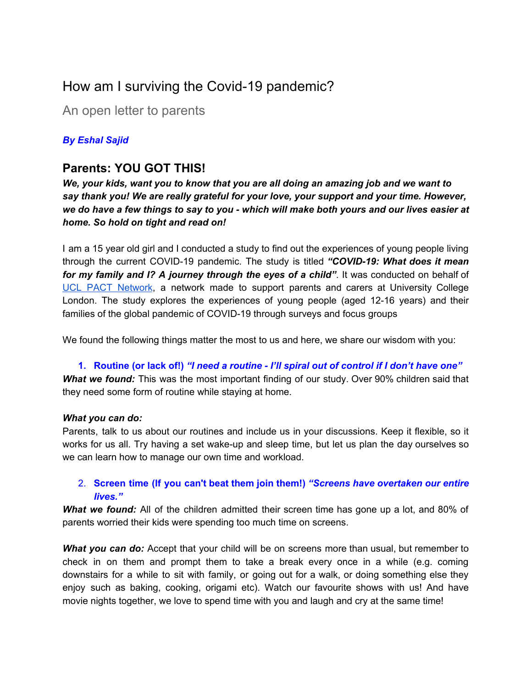# How am I surviving the Covid-19 pandemic?

An open letter to parents

# *By Eshal Sajid*

# **Parents: YOU GOT THIS!**

*We, your kids, want you to know that you are all doing an amazing job and we want to say thank you! We are really grateful for your love, your support and your time. However,* we do have a few things to say to you - which will make both yours and our lives easier at *home. So hold on tight and read on!*

I am a 15 year old girl and I conducted a study to find out the experiences of young people living through the current COVID-19 pandemic. The study is titled *"COVID-19: What does it mean for my family and I? A journey through the eyes of a child"*. It was conducted on behalf of UCL PACT [Network,](https://www.ucl.ac.uk/equality-diversity-inclusion/committees-and-social-networks/parents-and-carers-together) a network made to support parents and carers at University College London. The study explores the experiences of young people (aged 12-16 years) and their families of the global pandemic of COVID-19 through surveys and focus groups

We found the following things matter the most to us and here, we share our wisdom with you:

1. Routine (or lack of!) "I need a routine - I'll spiral out of control if I don't have one" *What we found:* This was the most important finding of our study. Over 90% children said that they need some form of routine while staying at home.

### *What you can do:*

Parents, talk to us about our routines and include us in your discussions. Keep it flexible, so it works for us all. Try having a set wake-up and sleep time, but let us plan the day ourselves so we can learn how to manage our own time and workload.

## 2. **Screen time (If you can't beat them join them!)** *"Screens have overtaken our entire lives."*

*What we found:* All of the children admitted their screen time has gone up a lot, and 80% of parents worried their kids were spending too much time on screens.

*What you can do:* Accept that your child will be on screens more than usual, but remember to check in on them and prompt them to take a break every once in a while (e.g. coming downstairs for a while to sit with family, or going out for a walk, or doing something else they enjoy such as baking, cooking, origami etc). Watch our favourite shows with us! And have movie nights together, we love to spend time with you and laugh and cry at the same time!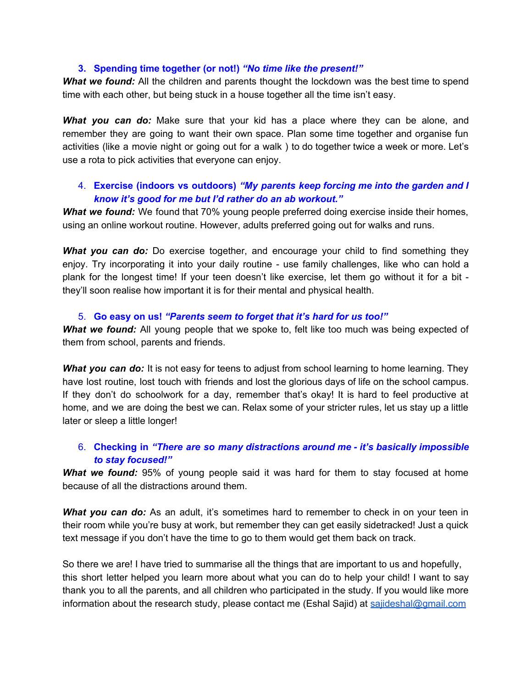#### **3. Spending time together (or not!)** *"No time like the present!"*

*What we found:* All the children and parents thought the lockdown was the best time to spend time with each other, but being stuck in a house together all the time isn't easy.

*What you can do:* Make sure that your kid has a place where they can be alone, and remember they are going to want their own space. Plan some time together and organise fun activities (like a movie night or going out for a walk ) to do together twice a week or more. Let's use a rota to pick activities that everyone can enjoy.

#### 4. **Exercise (indoors vs outdoors)** *"My parents keep forcing me into the garden and I know it's good for me but I'd rather do an ab workout."*

*What we found:* We found that 70% young people preferred doing exercise inside their homes, using an online workout routine. However, adults preferred going out for walks and runs.

*What you can do:* Do exercise together, and encourage your child to find something they enjoy. Try incorporating it into your daily routine - use family challenges, like who can hold a plank for the longest time! If your teen doesn't like exercise, let them go without it for a bit they'll soon realise how important it is for their mental and physical health.

#### 5. **Go easy on us!** *"Parents seem to forget that it's hard for us too!"*

*What we found:* All young people that we spoke to, felt like too much was being expected of them from school, parents and friends.

*What you can do:* It is not easy for teens to adjust from school learning to home learning. They have lost routine, lost touch with friends and lost the glorious days of life on the school campus. If they don't do schoolwork for a day, remember that's okay! It is hard to feel productive at home, and we are doing the best we can. Relax some of your stricter rules, let us stay up a little later or sleep a little longer!

### 6. **Checking in** *"There are so many distractions around me - it's basically impossible to stay focused!"*

*What we found:* 95% of young people said it was hard for them to stay focused at home because of all the distractions around them.

*What you can do:* As an adult, it's sometimes hard to remember to check in on your teen in their room while you're busy at work, but remember they can get easily sidetracked! Just a quick text message if you don't have the time to go to them would get them back on track.

So there we are! I have tried to summarise all the things that are important to us and hopefully, this short letter helped you learn more about what you can do to help your child! I want to say thank you to all the parents, and all children who participated in the study. If you would like more information about the research study, please contact me (Eshal Sajid) at [sajideshal@gmail.com](mailto:sajideshal@gmail.com)